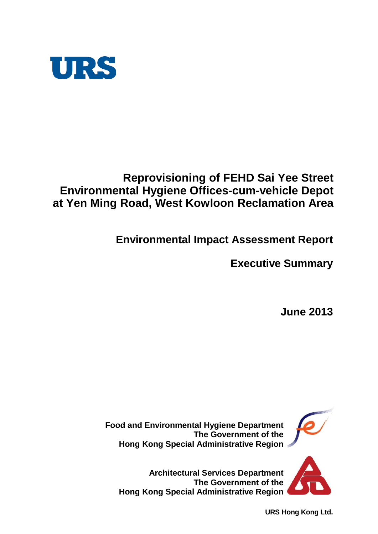

# **Reprovisioning of FEHD Sai Yee Street Environmental Hygiene Offices-cum-vehicle Depot at Yen Ming Road, West Kowloon Reclamation Area**

**Environmental Impact Assessment Report**

**Executive Summary**

**June 2013**



**Architectural Services Department The Government of the Hong Kong Special Administrative Region**

**URS Hong Kong Ltd.**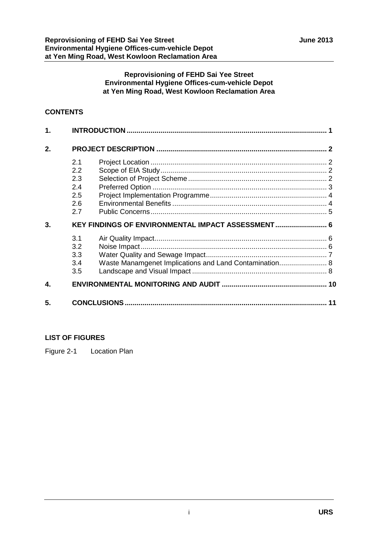#### **Reprovisioning of FEHD Sai Yee Street Environmental Hygiene Offices-cum-vehicle Depot at Yen Ming Road, West Kowloon Reclamation Area**

#### **CONTENTS**

| 1. |                                                   |                                                        |  |
|----|---------------------------------------------------|--------------------------------------------------------|--|
| 2. |                                                   |                                                        |  |
|    | 2.1<br>2.2<br>2.3<br>2.4<br>2.5<br>2.6<br>2.7     |                                                        |  |
| 3. | KEY FINDINGS OF ENVIRONMENTAL IMPACT ASSESSMENT 6 |                                                        |  |
|    | 3.1<br>3.2<br>3.3<br>3.4<br>3.5                   | Waste Manamgenet Implications and Land Contamination 8 |  |
| 4. |                                                   |                                                        |  |
| 5. |                                                   |                                                        |  |

#### **LIST OF FIGURES**

Figure 2-1 Location Plan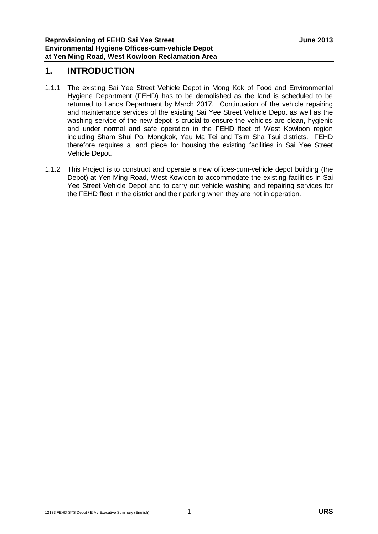#### **1. INTRODUCTION**

- 1.1.1 The existing Sai Yee Street Vehicle Depot in Mong Kok of Food and Environmental Hygiene Department (FEHD) has to be demolished as the land is scheduled to be returned to Lands Department by March 2017. Continuation of the vehicle repairing and maintenance services of the existing Sai Yee Street Vehicle Depot as well as the washing service of the new depot is crucial to ensure the vehicles are clean, hygienic and under normal and safe operation in the FEHD fleet of West Kowloon region including Sham Shui Po, Mongkok, Yau Ma Tei and Tsim Sha Tsui districts. FEHD therefore requires a land piece for housing the existing facilities in Sai Yee Street Vehicle Depot.
- 1.1.2 This Project is to construct and operate a new offices-cum-vehicle depot building (the Depot) at Yen Ming Road, West Kowloon to accommodate the existing facilities in Sai Yee Street Vehicle Depot and to carry out vehicle washing and repairing services for the FEHD fleet in the district and their parking when they are not in operation.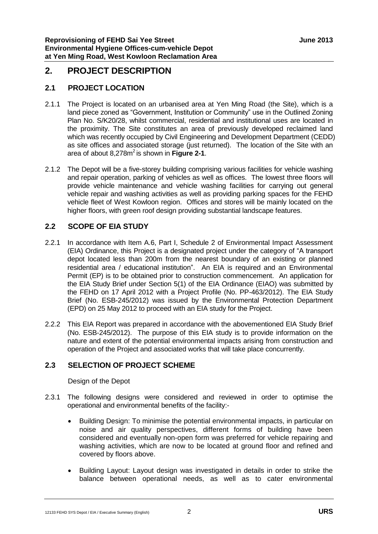## **2. PROJECT DESCRIPTION**

#### **2.1 PROJECT LOCATION**

- 2.1.1 The Project is located on an urbanised area at Yen Ming Road (the Site), which is a land piece zoned as "Government, Institution or Community" use in the Outlined Zoning Plan No. S/K20/28, whilst commercial, residential and institutional uses are located in the proximity. The Site constitutes an area of previously developed reclaimed land which was recently occupied by Civil Engineering and Development Department (CEDD) as site offices and associated storage (just returned). The location of the Site with an area of about 8,278m 2 is shown in **Figure 2-1**.
- 2.1.2 The Depot will be a five-storey building comprising various facilities for vehicle washing and repair operation, parking of vehicles as well as offices. The lowest three floors will provide vehicle maintenance and vehicle washing facilities for carrying out general vehicle repair and washing activities as well as providing parking spaces for the FEHD vehicle fleet of West Kowloon region. Offices and stores will be mainly located on the higher floors, with green roof design providing substantial landscape features.

#### **2.2 SCOPE OF EIA STUDY**

- 2.2.1 In accordance with Item A.6, Part I, Schedule 2 of Environmental Impact Assessment (EIA) Ordinance, this Project is a designated project under the category of "A transport depot located less than 200m from the nearest boundary of an existing or planned residential area / educational institution". An EIA is required and an Environmental Permit (EP) is to be obtained prior to construction commencement. An application for the EIA Study Brief under Section 5(1) of the EIA Ordinance (EIAO) was submitted by the FEHD on 17 April 2012 with a Project Profile (No. PP-463/2012). The EIA Study Brief (No. ESB-245/2012) was issued by the Environmental Protection Department (EPD) on 25 May 2012 to proceed with an EIA study for the Project.
- 2.2.2 This EIA Report was prepared in accordance with the abovementioned EIA Study Brief (No. ESB-245/2012). The purpose of this EIA study is to provide information on the nature and extent of the potential environmental impacts arising from construction and operation of the Project and associated works that will take place concurrently.

#### **2.3 SELECTION OF PROJECT SCHEME**

Design of the Depot

- 2.3.1 The following designs were considered and reviewed in order to optimise the operational and environmental benefits of the facility:-
	- Building Design: To minimise the potential environmental impacts, in particular on noise and air quality perspectives, different forms of building have been considered and eventually non-open form was preferred for vehicle repairing and washing activities, which are now to be located at ground floor and refined and covered by floors above.
	- Building Layout: Layout design was investigated in details in order to strike the balance between operational needs, as well as to cater environmental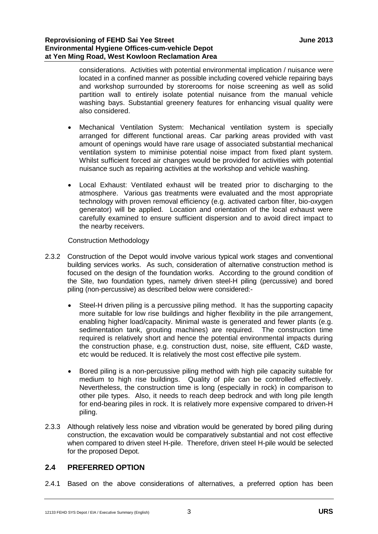considerations. Activities with potential environmental implication / nuisance were located in a confined manner as possible including covered vehicle repairing bays and workshop surrounded by storerooms for noise screening as well as solid partition wall to entirely isolate potential nuisance from the manual vehicle washing bays. Substantial greenery features for enhancing visual quality were also considered.

- Mechanical Ventilation System: Mechanical ventilation system is specially arranged for different functional areas. Car parking areas provided with vast amount of openings would have rare usage of associated substantial mechanical ventilation system to miminise potential noise impact from fixed plant system. Whilst sufficient forced air changes would be provided for activities with potential nuisance such as repairing activities at the workshop and vehicle washing.
- Local Exhaust: Ventilated exhaust will be treated prior to discharging to the atmosphere. Various gas treatments were evaluated and the most appropriate technology with proven removal efficiency (e.g. activated carbon filter, bio-oxygen generator) will be applied. Location and orientation of the local exhaust were carefully examined to ensure sufficient dispersion and to avoid direct impact to the nearby receivers.

Construction Methodology

- 2.3.2 Construction of the Depot would involve various typical work stages and conventional building services works. As such, consideration of alternative construction method is focused on the design of the foundation works. According to the ground condition of the Site, two foundation types, namely driven steel-H piling (percussive) and bored piling (non-percussive) as described below were considered:-
	- Steel-H driven piling is a percussive piling method. It has the supporting capacity more suitable for low rise buildings and higher flexibility in the pile arrangement, enabling higher load/capacity. Minimal waste is generated and fewer plants (e.g. sedimentation tank, grouting machines) are required. The construction time required is relatively short and hence the potential environmental impacts during the construction phase, e.g. construction dust, noise, site effluent, C&D waste, etc would be reduced. It is relatively the most cost effective pile system.
	- Bored piling is a non-percussive piling method with high pile capacity suitable for medium to high rise buildings. Quality of pile can be controlled effectively. Nevertheless, the construction time is long (especially in rock) in comparison to other pile types. Also, it needs to reach deep bedrock and with long pile length for end-bearing piles in rock. It is relatively more expensive compared to driven-H piling.
- 2.3.3 Although relatively less noise and vibration would be generated by bored piling during construction, the excavation would be comparatively substantial and not cost effective when compared to driven steel H-pile. Therefore, driven steel H-pile would be selected for the proposed Depot.

#### **2.4 PREFERRED OPTION**

2.4.1 Based on the above considerations of alternatives, a preferred option has been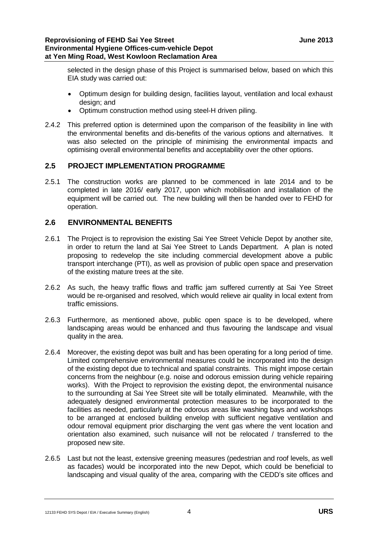selected in the design phase of this Project is summarised below, based on which this EIA study was carried out:

- Optimum design for building design, facilities layout, ventilation and local exhaust design; and
- Optimum construction method using steel-H driven piling.
- 2.4.2 This preferred option is determined upon the comparison of the feasibility in line with the environmental benefits and dis-benefits of the various options and alternatives. It was also selected on the principle of minimising the environmental impacts and optimising overall environmental benefits and acceptability over the other options.

#### **2.5 PROJECT IMPLEMENTATION PROGRAMME**

2.5.1 The construction works are planned to be commenced in late 2014 and to be completed in late 2016/ early 2017, upon which mobilisation and installation of the equipment will be carried out. The new building will then be handed over to FEHD for operation.

#### **2.6 ENVIRONMENTAL BENEFITS**

- 2.6.1 The Project is to reprovision the existing Sai Yee Street Vehicle Depot by another site, in order to return the land at Sai Yee Street to Lands Department. A plan is noted proposing to redevelop the site including commercial development above a public transport interchange (PTI), as well as provision of public open space and preservation of the existing mature trees at the site.
- 2.6.2 As such, the heavy traffic flows and traffic jam suffered currently at Sai Yee Street would be re-organised and resolved, which would relieve air quality in local extent from traffic emissions.
- 2.6.3 Furthermore, as mentioned above, public open space is to be developed, where landscaping areas would be enhanced and thus favouring the landscape and visual quality in the area.
- 2.6.4 Moreover, the existing depot was built and has been operating for a long period of time. Limited comprehensive environmental measures could be incorporated into the design of the existing depot due to technical and spatial constraints. This might impose certain concerns from the neighbour (e.g. noise and odorous emission during vehicle repairing works). With the Project to reprovision the existing depot, the environmental nuisance to the surrounding at Sai Yee Street site will be totally eliminated. Meanwhile, with the adequately designed environmental protection measures to be incorporated to the facilities as needed, particularly at the odorous areas like washing bays and workshops to be arranged at enclosed building envelop with sufficient negative ventilation and odour removal equipment prior discharging the vent gas where the vent location and orientation also examined, such nuisance will not be relocated / transferred to the proposed new site.
- 2.6.5 Last but not the least, extensive greening measures (pedestrian and roof levels, as well as facades) would be incorporated into the new Depot, which could be beneficial to landscaping and visual quality of the area, comparing with the CEDD's site offices and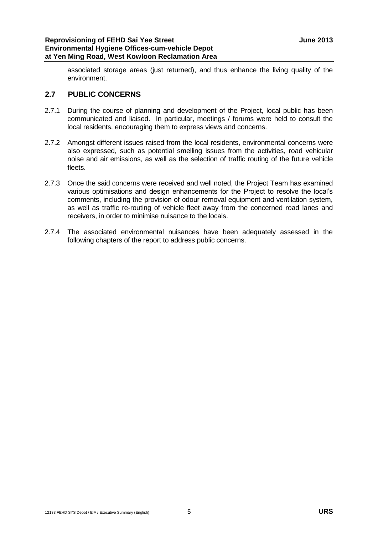#### **Reprovisioning of FEHD Sai Yee Street June 2013 Environmental Hygiene Offices-cum-vehicle Depot at Yen Ming Road, West Kowloon Reclamation Area**

associated storage areas (just returned), and thus enhance the living quality of the environment.

#### **2.7 PUBLIC CONCERNS**

- 2.7.1 During the course of planning and development of the Project, local public has been communicated and liaised. In particular, meetings / forums were held to consult the local residents, encouraging them to express views and concerns.
- 2.7.2 Amongst different issues raised from the local residents, environmental concerns were also expressed, such as potential smelling issues from the activities, road vehicular noise and air emissions, as well as the selection of traffic routing of the future vehicle fleets.
- 2.7.3 Once the said concerns were received and well noted, the Project Team has examined various optimisations and design enhancements for the Project to resolve the local's comments, including the provision of odour removal equipment and ventilation system, as well as traffic re-routing of vehicle fleet away from the concerned road lanes and receivers, in order to minimise nuisance to the locals.
- 2.7.4 The associated environmental nuisances have been adequately assessed in the following chapters of the report to address public concerns.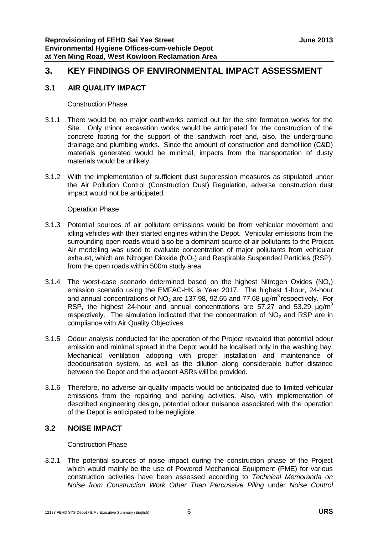# **3. KEY FINDINGS OF ENVIRONMENTAL IMPACT ASSESSMENT**

#### **3.1 AIR QUALITY IMPACT**

Construction Phase

- 3.1.1 There would be no major earthworks carried out for the site formation works for the Site. Only minor excavation works would be anticipated for the construction of the concrete footing for the support of the sandwich roof and, also, the underground drainage and plumbing works. Since the amount of construction and demolition (C&D) materials generated would be minimal, impacts from the transportation of dusty materials would be unlikely.
- 3.1.2 With the implementation of sufficient dust suppression measures as stipulated under the Air Pollution Control (Construction Dust) Regulation, adverse construction dust impact would not be anticipated.

Operation Phase

- 3.1.3 Potential sources of air pollutant emissions would be from vehicular movement and idling vehicles with their started engines within the Depot. Vehicular emissions from the surrounding open roads would also be a dominant source of air pollutants to the Project. Air modelling was used to evaluate concentration of major pollutants from vehicular exhaust, which are Nitrogen Dioxide  $(NO<sub>2</sub>)$  and Respirable Suspended Particles  $(RSP)$ , from the open roads within 500m study area.
- 3.1.4 The worst-case scenario determined based on the highest Nitrogen Oxides ( $NO<sub>x</sub>$ ) emission scenario using the EMFAC-HK is Year 2017. The highest 1-hour, 24-hour and annual concentrations of  $NO<sub>2</sub>$  are 137.98, 92.65 and 77.68  $\mu$ g/m<sup>3</sup> respectively. For RSP, the highest 24-hour and annual concentrations are 57.27 and 53.29  $\mu$ g/m<sup>3</sup> respectively. The simulation indicated that the concentration of  $NO<sub>2</sub>$  and RSP are in compliance with Air Quality Objectives.
- 3.1.5 Odour analysis conducted for the operation of the Project revealed that potential odour emission and minimal spread in the Depot would be localised only in the washing bay. Mechanical ventilation adopting with proper installation and maintenance of deodourisation system, as well as the dilution along considerable buffer distance between the Depot and the adjacent ASRs will be provided.
- 3.1.6 Therefore, no adverse air quality impacts would be anticipated due to limited vehicular emissions from the repairing and parking activities. Also, with implementation of described engineering design, potential odour nuisance associated with the operation of the Depot is anticipated to be negligible.

#### **3.2 NOISE IMPACT**

Construction Phase

3.2.1 The potential sources of noise impact during the construction phase of the Project which would mainly be the use of Powered Mechanical Equipment (PME) for various construction activities have been assessed according to *Technical Memoranda on Noise from Construction Work Other Than Percussive Piling* under *Noise Control*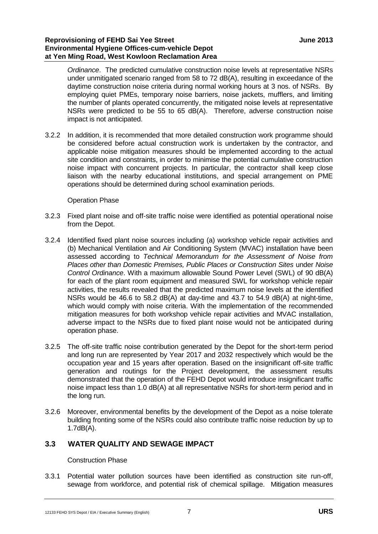#### **Reprovisioning of FEHD Sai Yee Street June 2013 Environmental Hygiene Offices-cum-vehicle Depot at Yen Ming Road, West Kowloon Reclamation Area**

*Ordinance*. The predicted cumulative construction noise levels at representative NSRs under unmitigated scenario ranged from 58 to 72 dB(A), resulting in exceedance of the daytime construction noise criteria during normal working hours at 3 nos. of NSRs. By employing quiet PMEs, temporary noise barriers, noise jackets, mufflers, and limiting the number of plants operated concurrently, the mitigated noise levels at representative NSRs were predicted to be 55 to 65 dB(A). Therefore, adverse construction noise impact is not anticipated.

3.2.2 In addition, it is recommended that more detailed construction work programme should be considered before actual construction work is undertaken by the contractor, and applicable noise mitigation measures should be implemented according to the actual site condition and constraints, in order to minimise the potential cumulative construction noise impact with concurrent projects. In particular, the contractor shall keep close liaison with the nearby educational institutions, and special arrangement on PME operations should be determined during school examination periods.

#### Operation Phase

- 3.2.3 Fixed plant noise and off-site traffic noise were identified as potential operational noise from the Depot.
- 3.2.4 Identified fixed plant noise sources including (a) workshop vehicle repair activities and (b) Mechanical Ventilation and Air Conditioning System (MVAC) installation have been assessed according to *Technical Memorandum for the Assessment of Noise from Places other than Domestic Premises, Public Places or Construction Sites* under *Noise Control Ordinance*. With a maximum allowable Sound Power Level (SWL) of 90 dB(A) for each of the plant room equipment and measured SWL for workshop vehicle repair activities, the results revealed that the predicted maximum noise levels at the identified NSRs would be 46.6 to 58.2  $dB(A)$  at day-time and 43.7 to 54.9  $dB(A)$  at night-time, which would comply with noise criteria. With the implementation of the recommended mitigation measures for both workshop vehicle repair activities and MVAC installation, adverse impact to the NSRs due to fixed plant noise would not be anticipated during operation phase.
- 3.2.5 The off-site traffic noise contribution generated by the Depot for the short-term period and long run are represented by Year 2017 and 2032 respectively which would be the occupation year and 15 years after operation. Based on the insignificant off-site traffic generation and routings for the Project development, the assessment results demonstrated that the operation of the FEHD Depot would introduce insignificant traffic noise impact less than 1.0 dB(A) at all representative NSRs for short-term period and in the long run.
- 3.2.6 Moreover, environmental benefits by the development of the Depot as a noise tolerate building fronting some of the NSRs could also contribute traffic noise reduction by up to 1.7dB(A).

#### **3.3 WATER QUALITY AND SEWAGE IMPACT**

#### Construction Phase

3.3.1 Potential water pollution sources have been identified as construction site run-off, sewage from workforce, and potential risk of chemical spillage. Mitigation measures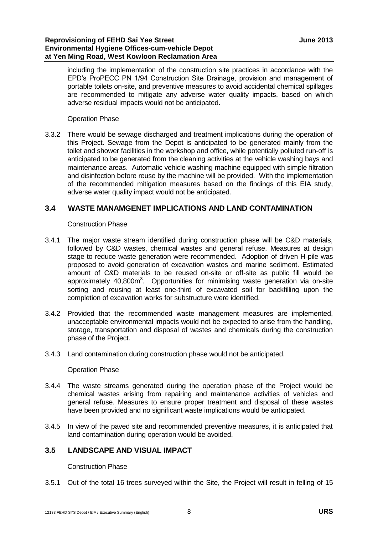including the implementation of the construction site practices in accordance with the EPD's ProPECC PN 1/94 Construction Site Drainage, provision and management of portable toilets on-site, and preventive measures to avoid accidental chemical spillages are recommended to mitigate any adverse water quality impacts, based on which adverse residual impacts would not be anticipated.

#### Operation Phase

3.3.2 There would be sewage discharged and treatment implications during the operation of this Project. Sewage from the Depot is anticipated to be generated mainly from the toilet and shower facilities in the workshop and office, while potentially polluted run-off is anticipated to be generated from the cleaning activities at the vehicle washing bays and maintenance areas. Automatic vehicle washing machine equipped with simple filtration and disinfection before reuse by the machine will be provided. With the implementation of the recommended mitigation measures based on the findings of this EIA study, adverse water quality impact would not be anticipated.

#### **3.4 WASTE MANAMGENET IMPLICATIONS AND LAND CONTAMINATION**

#### Construction Phase

- 3.4.1 The major waste stream identified during construction phase will be C&D materials, followed by C&D wastes, chemical wastes and general refuse. Measures at design stage to reduce waste generation were recommended. Adoption of driven H-pile was proposed to avoid generation of excavation wastes and marine sediment. Estimated amount of C&D materials to be reused on-site or off-site as public fill would be approximately  $40,800m^3$ . Opportunities for minimising waste generation via on-site sorting and reusing at least one-third of excavated soil for backfilling upon the completion of excavation works for substructure were identified.
- 3.4.2 Provided that the recommended waste management measures are implemented, unacceptable environmental impacts would not be expected to arise from the handling, storage, transportation and disposal of wastes and chemicals during the construction phase of the Project.
- 3.4.3 Land contamination during construction phase would not be anticipated.

#### Operation Phase

- 3.4.4 The waste streams generated during the operation phase of the Project would be chemical wastes arising from repairing and maintenance activities of vehicles and general refuse. Measures to ensure proper treatment and disposal of these wastes have been provided and no significant waste implications would be anticipated.
- 3.4.5 In view of the paved site and recommended preventive measures, it is anticipated that land contamination during operation would be avoided.

#### **3.5 LANDSCAPE AND VISUAL IMPACT**

#### Construction Phase

3.5.1 Out of the total 16 trees surveyed within the Site, the Project will result in felling of 15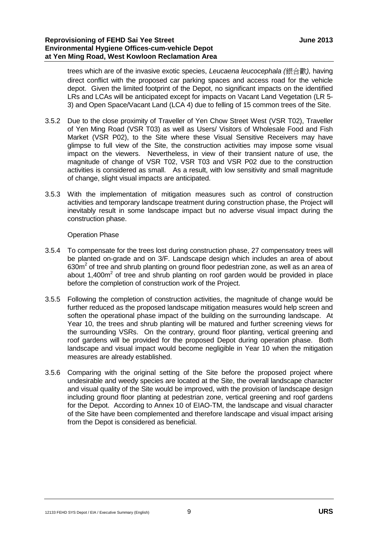trees which are of the invasive exotic species, *Leucaena leucocephala (*銀合歡*),* having direct conflict with the proposed car parking spaces and access road for the vehicle depot. Given the limited footprint of the Depot, no significant impacts on the identified LRs and LCAs will be anticipated except for impacts on Vacant Land Vegetation (LR 5- 3) and Open Space/Vacant Land (LCA 4) due to felling of 15 common trees of the Site.

- 3.5.2 Due to the close proximity of Traveller of Yen Chow Street West (VSR T02), Traveller of Yen Ming Road (VSR T03) as well as Users/ Visitors of Wholesale Food and Fish Market (VSR P02), to the Site where these Visual Sensitive Receivers may have glimpse to full view of the Site, the construction activities may impose some visual impact on the viewers. Nevertheless, in view of their transient nature of use, the magnitude of change of VSR T02, VSR T03 and VSR P02 due to the construction activities is considered as small. As a result, with low sensitivity and small magnitude of change, slight visual impacts are anticipated.
- 3.5.3 With the implementation of mitigation measures such as control of construction activities and temporary landscape treatment during construction phase, the Project will inevitably result in some landscape impact but no adverse visual impact during the construction phase.

#### Operation Phase

- 3.5.4 To compensate for the trees lost during construction phase, 27 compensatory trees will be planted on-grade and on 3/F. Landscape design which includes an area of about  $630m<sup>2</sup>$  of tree and shrub planting on ground floor pedestrian zone, as well as an area of about 1,400 $m^2$  of tree and shrub planting on roof garden would be provided in place before the completion of construction work of the Project.
- 3.5.5 Following the completion of construction activities, the magnitude of change would be further reduced as the proposed landscape mitigation measures would help screen and soften the operational phase impact of the building on the surrounding landscape. At Year 10, the trees and shrub planting will be matured and further screening views for the surrounding VSRs. On the contrary, ground floor planting, vertical greening and roof gardens will be provided for the proposed Depot during operation phase. Both landscape and visual impact would become negligible in Year 10 when the mitigation measures are already established.
- 3.5.6 Comparing with the original setting of the Site before the proposed project where undesirable and weedy species are located at the Site, the overall landscape character and visual quality of the Site would be improved, with the provision of landscape design including ground floor planting at pedestrian zone, vertical greening and roof gardens for the Depot. According to Annex 10 of EIAO-TM, the landscape and visual character of the Site have been complemented and therefore landscape and visual impact arising from the Depot is considered as beneficial.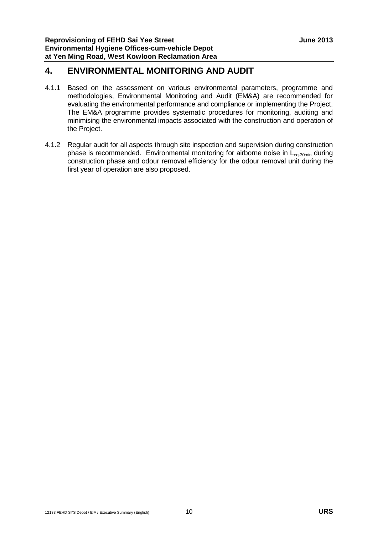# **4. ENVIRONMENTAL MONITORING AND AUDIT**

- 4.1.1 Based on the assessment on various environmental parameters, programme and methodologies, Environmental Monitoring and Audit (EM&A) are recommended for evaluating the environmental performance and compliance or implementing the Project. The EM&A programme provides systematic procedures for monitoring, auditing and minimising the environmental impacts associated with the construction and operation of the Project.
- 4.1.2 Regular audit for all aspects through site inspection and supervision during construction phase is recommended. Environmental monitoring for airborne noise in  $L_{eq-30min}$  during construction phase and odour removal efficiency for the odour removal unit during the first year of operation are also proposed.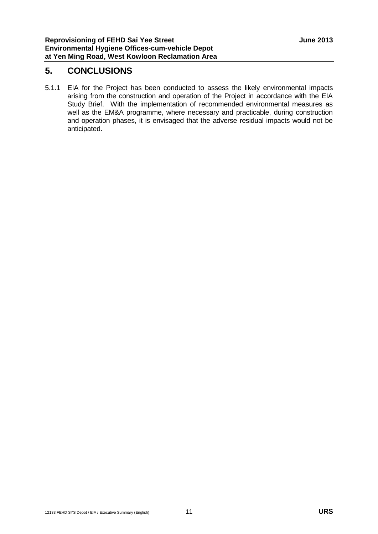## **5. CONCLUSIONS**

5.1.1 EIA for the Project has been conducted to assess the likely environmental impacts arising from the construction and operation of the Project in accordance with the EIA Study Brief. With the implementation of recommended environmental measures as well as the EM&A programme, where necessary and practicable, during construction and operation phases, it is envisaged that the adverse residual impacts would not be anticipated.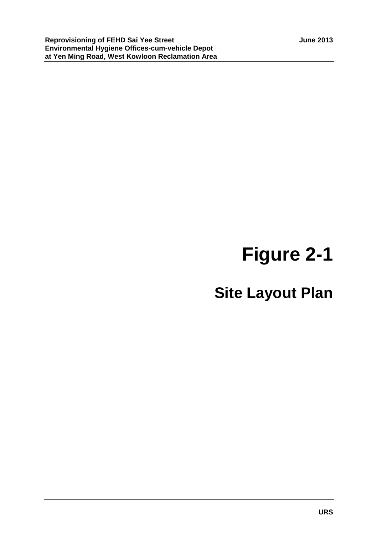# **Figure 2-1**

# **Site Layout Plan**